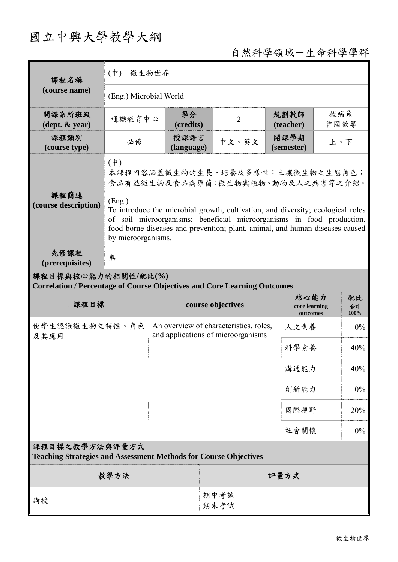# 國立中興大學教學大綱

## 自然科學領域-生命科學學群

| 課程名稱                                                                                                   | $(\dagger)$<br>微生物世界                                                                                                                                                                                                                                                     |                                                                              |      |                |                    |                                   |             |                  |  |
|--------------------------------------------------------------------------------------------------------|--------------------------------------------------------------------------------------------------------------------------------------------------------------------------------------------------------------------------------------------------------------------------|------------------------------------------------------------------------------|------|----------------|--------------------|-----------------------------------|-------------|------------------|--|
| (course name)                                                                                          | (Eng.) Microbial World                                                                                                                                                                                                                                                   |                                                                              |      |                |                    |                                   |             |                  |  |
| 開課系所班級<br>$(\text{dept.} \& \text{ year})$                                                             | 通識教育中心                                                                                                                                                                                                                                                                   | 學分<br>(credits)                                                              |      | $\overline{2}$ |                    | 規劃教師<br>(teacher)                 | 植病系<br>曾國欽等 |                  |  |
| 課程類別<br>(course type)                                                                                  | 授課語言<br>必修<br>(language)                                                                                                                                                                                                                                                 |                                                                              |      | 中文、英文          | 開課學期<br>(semester) |                                   | 上、下         |                  |  |
|                                                                                                        | $(\dagger)$<br>本課程內容涵蓋微生物的生長、培養及多樣性;土壤微生物之生態角色;<br>食品有益微生物及食品病原菌;微生物與植物、動物及人之病害等之介紹。                                                                                                                                                                                     |                                                                              |      |                |                    |                                   |             |                  |  |
| 課程簡述<br>(course description)                                                                           | (Eng.)<br>To introduce the microbial growth, cultivation, and diversity; ecological roles<br>of soil microorganisms; beneficial microorganisms in food production,<br>food-borne diseases and prevention; plant, animal, and human diseases caused<br>by microorganisms. |                                                                              |      |                |                    |                                   |             |                  |  |
| 先修課程<br>(prerequisites)                                                                                | 無                                                                                                                                                                                                                                                                        |                                                                              |      |                |                    |                                   |             |                  |  |
| 課程目標與核心能力的相關性/配比(%)<br><b>Correlation / Percentage of Course Objectives and Core Learning Outcomes</b> |                                                                                                                                                                                                                                                                          |                                                                              |      |                |                    |                                   |             |                  |  |
| 課程目標                                                                                                   |                                                                                                                                                                                                                                                                          | course objectives                                                            |      |                |                    | 核心能力<br>core learning<br>outcomes |             | 配比<br>合計<br>100% |  |
| 使學生認識微生物之特性、角色<br>及其應用                                                                                 |                                                                                                                                                                                                                                                                          | An overview of characteristics, roles,<br>and applications of microorganisms |      |                |                    | 人文素養                              |             | 0%               |  |
|                                                                                                        |                                                                                                                                                                                                                                                                          |                                                                              |      |                | 科學素養               |                                   | 40%         |                  |  |
|                                                                                                        |                                                                                                                                                                                                                                                                          |                                                                              |      |                | 溝通能力               |                                   | 40%         |                  |  |
|                                                                                                        |                                                                                                                                                                                                                                                                          |                                                                              |      |                |                    | 創新能力                              |             | 0%               |  |
|                                                                                                        |                                                                                                                                                                                                                                                                          |                                                                              |      |                |                    | 國際視野                              |             | 20%              |  |
|                                                                                                        |                                                                                                                                                                                                                                                                          |                                                                              |      |                | 社會關懷               |                                   | $0\%$       |                  |  |
| 課程目標之教學方法與評量方式<br><b>Teaching Strategies and Assessment Methods for Course Objectives</b>              |                                                                                                                                                                                                                                                                          |                                                                              |      |                |                    |                                   |             |                  |  |
| 教學方法                                                                                                   |                                                                                                                                                                                                                                                                          |                                                                              | 評量方式 |                |                    |                                   |             |                  |  |
| 講授                                                                                                     |                                                                                                                                                                                                                                                                          |                                                                              |      | 期中考試<br>期末考試   |                    |                                   |             |                  |  |